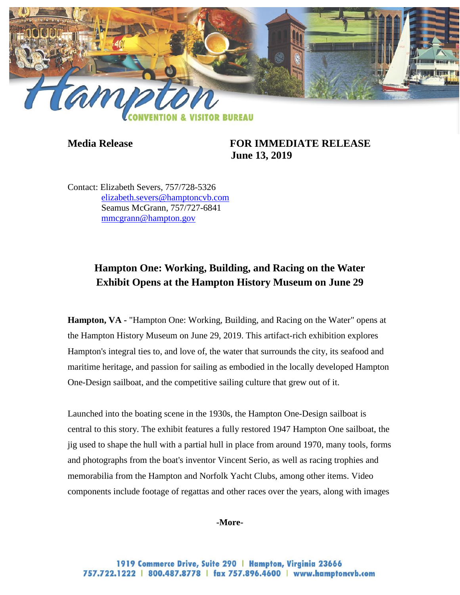

**Media Release FOR IMMEDIATE RELEASE June 13, 2019**

Contact: Elizabeth Severs, 757/728-5326 [elizabeth.severs@hamptoncvb.com](mailto:elizabeth.severs@hamptoncvb.com) Seamus McGrann, 757/727-6841 [mmcgrann@hampton.gov](mailto:mmcgrann@hampton.gov)

# **Hampton One: Working, Building, and Racing on the Water Exhibit Opens at the Hampton History Museum on June 29**

**Hampton, VA -** "Hampton One: Working, Building, and Racing on the Water" opens at the Hampton History Museum on June 29, 2019. This artifact-rich exhibition explores Hampton's integral ties to, and love of, the water that surrounds the city, its seafood and maritime heritage, and passion for sailing as embodied in the locally developed Hampton One-Design sailboat, and the competitive sailing culture that grew out of it.

Launched into the boating scene in the 1930s, the Hampton One-Design sailboat is central to this story. The exhibit features a fully restored 1947 Hampton One sailboat, the jig used to shape the hull with a partial hull in place from around 1970, many tools, forms and photographs from the boat's inventor Vincent Serio, as well as racing trophies and memorabilia from the Hampton and Norfolk Yacht Clubs, among other items. Video components include footage of regattas and other races over the years, along with images

#### **-More-**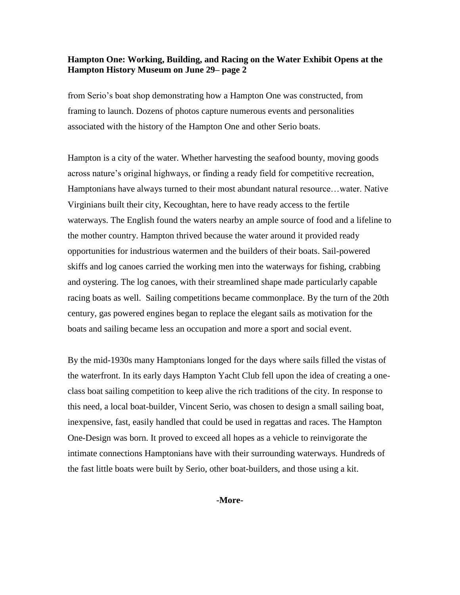#### **Hampton One: Working, Building, and Racing on the Water Exhibit Opens at the Hampton History Museum on June 29– page 2**

from Serio's boat shop demonstrating how a Hampton One was constructed, from framing to launch. Dozens of photos capture numerous events and personalities associated with the history of the Hampton One and other Serio boats.

Hampton is a city of the water. Whether harvesting the seafood bounty, moving goods across nature's original highways, or finding a ready field for competitive recreation, Hamptonians have always turned to their most abundant natural resource…water. Native Virginians built their city, Kecoughtan, here to have ready access to the fertile waterways. The English found the waters nearby an ample source of food and a lifeline to the mother country. Hampton thrived because the water around it provided ready opportunities for industrious watermen and the builders of their boats. Sail-powered skiffs and log canoes carried the working men into the waterways for fishing, crabbing and oystering. The log canoes, with their streamlined shape made particularly capable racing boats as well. Sailing competitions became commonplace. By the turn of the 20th century, gas powered engines began to replace the elegant sails as motivation for the boats and sailing became less an occupation and more a sport and social event.

By the mid-1930s many Hamptonians longed for the days where sails filled the vistas of the waterfront. In its early days Hampton Yacht Club fell upon the idea of creating a oneclass boat sailing competition to keep alive the rich traditions of the city. In response to this need, a local boat-builder, Vincent Serio, was chosen to design a small sailing boat, inexpensive, fast, easily handled that could be used in regattas and races. The Hampton One-Design was born. It proved to exceed all hopes as a vehicle to reinvigorate the intimate connections Hamptonians have with their surrounding waterways. Hundreds of the fast little boats were built by Serio, other boat-builders, and those using a kit.

**-More-**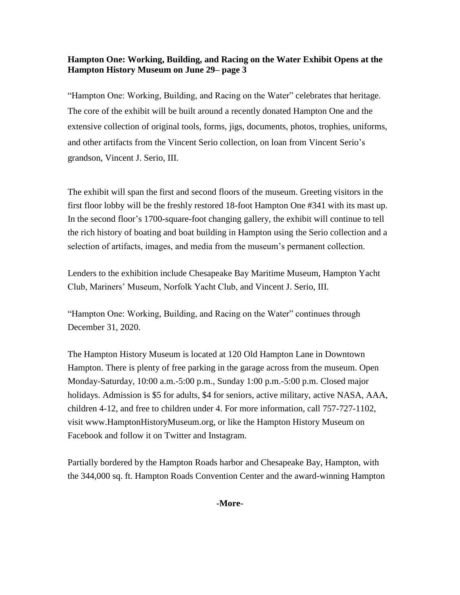## **Hampton One: Working, Building, and Racing on the Water Exhibit Opens at the Hampton History Museum on June 29– page 3**

"Hampton One: Working, Building, and Racing on the Water" celebrates that heritage. The core of the exhibit will be built around a recently donated Hampton One and the extensive collection of original tools, forms, jigs, documents, photos, trophies, uniforms, and other artifacts from the Vincent Serio collection, on loan from Vincent Serio's grandson, Vincent J. Serio, III.

The exhibit will span the first and second floors of the museum. Greeting visitors in the first floor lobby will be the freshly restored 18-foot Hampton One #341 with its mast up. In the second floor's 1700-square-foot changing gallery, the exhibit will continue to tell the rich history of boating and boat building in Hampton using the Serio collection and a selection of artifacts, images, and media from the museum's permanent collection.

Lenders to the exhibition include Chesapeake Bay Maritime Museum, Hampton Yacht Club, Mariners' Museum, Norfolk Yacht Club, and Vincent J. Serio, III.

"Hampton One: Working, Building, and Racing on the Water" continues through December 31, 2020.

The Hampton History Museum is located at 120 Old Hampton Lane in Downtown Hampton. There is plenty of free parking in the garage across from the museum. Open Monday-Saturday, 10:00 a.m.-5:00 p.m., Sunday 1:00 p.m.-5:00 p.m. Closed major holidays. Admission is \$5 for adults, \$4 for seniors, active military, active NASA, AAA, children 4-12, and free to children under 4. For more information, call 757-727-1102, visit www.HamptonHistoryMuseum.org, or like the Hampton History Museum on Facebook and follow it on Twitter and Instagram.

Partially bordered by the Hampton Roads harbor and Chesapeake Bay, Hampton, with the 344,000 sq. ft. Hampton Roads Convention Center and the award-winning Hampton

**-More-**